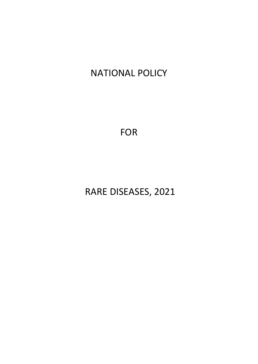# NATIONAL POLICY

FOR

RARE DISEASES, 2021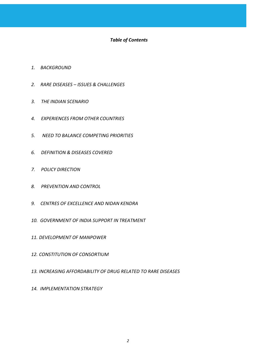# *Table of Contents*

- *1. BACKGROUND*
- *2. RARE DISEASES – ISSUES & CHALLENGES*
- *3. THE INDIAN SCENARIO*
- *4. EXPERIENCES FROM OTHER COUNTRIES*
- *5. NEED TO BALANCE COMPETING PRIORITIES*
- *6. DEFINITION & DISEASES COVERED*
- *7. POLICY DIRECTION*
- *8. PREVENTION AND CONTROL*
- *9. CENTRES OF EXCELLENCE AND NIDAN KENDRA*
- *10. GOVERNMENT OF INDIA SUPPORT IN TREATMENT*
- *11. DEVELOPMENT OF MANPOWER*
- *12. CONSTITUTION OF CONSORTIUM*
- *13. INCREASING AFFORDABILITY OF DRUG RELATED TO RARE DISEASES*
- *14. IMPLEMENTATION STRATEGY*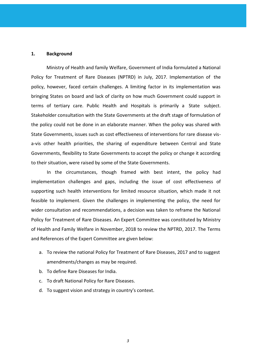### **1. Background**

Ministry of Health and family Welfare, Government of India formulated a National Policy for Treatment of Rare Diseases (NPTRD) in July, 2017. Implementation of the policy, however, faced certain challenges. A limiting factor in its implementation was bringing States on board and lack of clarity on how much Government could support in terms of tertiary care. Public Health and Hospitals is primarily a State subject. Stakeholder consultation with the State Governments at the draft stage of formulation of the policy could not be done in an elaborate manner. When the policy was shared with State Governments, issues such as cost effectiveness of interventions for rare disease visa-vis other health priorities, the sharing of expenditure between Central and State Governments, flexibility to State Governments to accept the policy or change it according to their situation, were raised by some of the State Governments.

In the circumstances, though framed with best intent, the policy had implementation challenges and gaps, including the issue of cost effectiveness of supporting such health interventions for limited resource situation, which made it not feasible to implement. Given the challenges in implementing the policy, the need for wider consultation and recommendations, a decision was taken to reframe the National Policy for Treatment of Rare Diseases. An Expert Committee was constituted by Ministry of Health and Family Welfare in November, 2018 to review the NPTRD, 2017. The Terms and References of the Expert Committee are given below:

- a. To review the national Policy for Treatment of Rare Diseases, 2017 and to suggest amendments/changes as may be required.
- b. To define Rare Diseases for India.
- c. To draft National Policy for Rare Diseases.
- d. To suggest vision and strategy in country's context.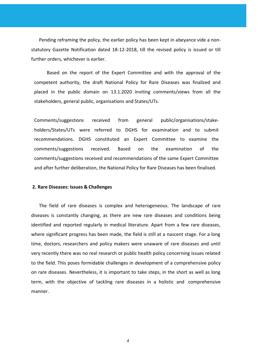Pending reframing the policy, the earlier policy has been kept in abeyance vide a nonstatutory Gazette Notification dated 18-12-2018, till the revised policy is issued or till further orders, whichever is earlier.

Based on the report of the Expert Committee and with the approval of the competent authority, the draft National Policy for Rare Diseases was finalized and placed in the public domain on 13.1.2020 inviting comments/views from all the stakeholders, general public, organisations and States/UTs.

Comments/suggestions received from general public/organisations/stakeholders/States/UTs were referred to DGHS for examination and to submit recommendations. DGHS constituted an Expert Committee to examine the comments/suggestions received. Based on the examination of the comments/suggestions received and recommendations of the same Expert Committee and after further deliberation, the National Policy for Rare Diseases has been finalised.

### **2. Rare Diseases: Issues & Challenges**

The field of rare diseases is complex and heterogeneous. The landscape of rare diseases is constantly changing, as there are new rare diseases and conditions being identified and reported regularly in medical literature. Apart from a few rare diseases, where significant progress has been made, the field is still at a nascent stage. For a long time, doctors, researchers and policy makers were unaware of rare diseases and until very recently there was no real research or public health policy concerning issues related to the field. This poses formidable challenges in development of a comprehensive policy on rare diseases. Nevertheless, it is important to take steps, in the short as well as long term, with the objective of tackling rare diseases in a holistic and comprehensive manner.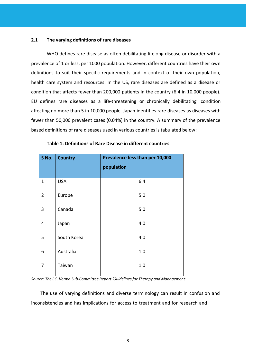### **2.1 The varying definitions of rare diseases**

WHO defines rare disease as often debilitating lifelong disease or disorder with a prevalence of 1 or less, per 1000 population. However, different countries have their own definitions to suit their specific requirements and in context of their own population, health care system and resources. In the US, rare diseases are defined as a disease or condition that affects fewer than 200,000 patients in the country (6.4 in 10,000 people). EU defines rare diseases as a life-threatening or chronically debilitating condition affecting no more than 5 in 10,000 people. Japan identifies rare diseases as diseases with fewer than 50,000 prevalent cases (0.04%) in the country. A summary of the prevalence based definitions of rare diseases used in various countries is tabulated below:

| S No.          | <b>Country</b> | Prevalence less than per 10,000<br>population |  |
|----------------|----------------|-----------------------------------------------|--|
|                |                |                                               |  |
| $\mathbf{1}$   | <b>USA</b>     | 6.4                                           |  |
| $\overline{2}$ | Europe         | 5.0                                           |  |
| 3              | Canada         | 5.0                                           |  |
| 4              | Japan          | 4.0                                           |  |
| 5              | South Korea    | 4.0                                           |  |
| 6              | Australia      | 1.0                                           |  |
| 7              | Taiwan         | 1.0                                           |  |

### **Table 1: Definitions of Rare Disease in different countries**

*Source*: *The I.C. Verma Sub-Committee Report 'Guidelinesfor Therapy and Management'*

The use of varying definitions and diverse terminology can result in confusion and inconsistencies and has implications for access to treatment and for research and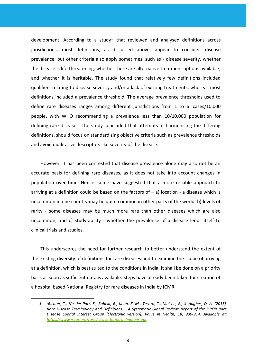development. According to a study<sup>1,</sup> that reviewed and analysed definitions across jurisdictions, most definitions, as discussed above, appear to consider disease prevalence, but other criteria also apply sometimes, such as - disease severity, whether the disease is life-threatening, whether there are alternative treatment options available, and whether it is heritable. The study found that relatively few definitions included qualifiers relating to disease severity and/or a lack of existing treatments, whereas most definitions included a prevalence threshold. The average prevalence thresholds used to define rare diseases ranges among different jurisdictions from 1 to 6 cases/10,000 people, with WHO recommending a prevalence less than 10/10,000 population for defining rare diseases. The study concluded that attempts at harmonising the differing definitions, should focus on standardizing objective criteria such as prevalence thresholds and avoid qualitative descriptors like severity of the disease.

However, it has been contested that disease prevalence alone may also not be an accurate basis for defining rare diseases, as it does not take into account changes in population over time. Hence, some have suggested that a more reliable approach to arriving at a definition could be based on the factors of  $-$  a) location - a disease which is uncommon in one country may be quite common in other parts of the world; b) levels of rarity - some diseases may be much more rare than other diseases which are also uncommon; and c) study-ability - whether the prevalence of a disease lends itself to clinical trials and studies.

This underscores the need for further research to better understand the extent of the existing diversity of definitions for rare diseases and to examine the scope of arriving at a definition, which is best suited to the conditions in India. It shall be done on a priority basis as soon as sufficient data is available. Steps have already been taken for creation of a hospital based National Registry for rare diseases in India by ICMR.

<sup>1. &</sup>lt;sup>1</sup>Richter, T., Nestler-Parr, S., Babela, R., Khan, Z. M., Tesoro, T., Molsen, E., & Hughes, D. A. (2015). *Rare Disease Terminology and Definitions – A Systematic Global Review: Report of the ISPOR Rare Disease Special Interest Group [Electronic version]. Value in Health, 18, 906-914. Available at: <https://www.ispor.org/raredisease-terms-definitions.pdf>*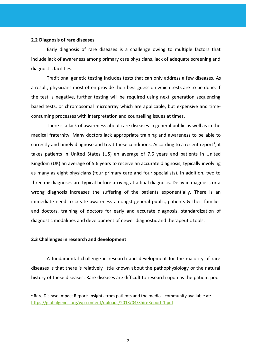#### **2.2 Diagnosis of rare diseases**

Early diagnosis of rare diseases is a challenge owing to multiple factors that include lack of awareness among primary care physicians, lack of adequate screening and diagnostic facilities.

Traditional genetic testing includes tests that can only address a few diseases. As a result, physicians most often provide their best guess on which tests are to be done. If the test is negative, further testing will be required using next generation sequencing based tests, or chromosomal microarray which are applicable, but expensive and timeconsuming processes with interpretation and counselling issues at times.

There is a lack of awareness about rare diseases in general public as well as in the medical fraternity. Many doctors lack appropriate training and awareness to be able to correctly and timely diagnose and treat these conditions. According to a recent report<sup>2</sup>, it takes patients in United States (US) an average of 7.6 years and patients in United Kingdom (UK) an average of 5.6 years to receive an accurate diagnosis, typically involving as many as eight physicians (four primary care and four specialists). In addition, two to three misdiagnoses are typical before arriving at a final diagnosis. Delay in diagnosis or a wrong diagnosis increases the suffering of the patients exponentially. There is an immediate need to create awareness amongst general public, patients & their families and doctors, training of doctors for early and accurate diagnosis, standardization of diagnostic modalities and development of newer diagnostic and therapeutic tools.

### **2.3 Challenges in research and development**

A fundamental challenge in research and development for the majority of rare diseases is that there is relatively little known about the pathophysiology or the natural history of these diseases. Rare diseases are difficult to research upon as the patient pool

 $2$  Rare Disease Impact Report: Insights from patients and the medical community available at: <https://globalgenes.org/wp-content/uploads/2013/04/ShireReport-1.pdf>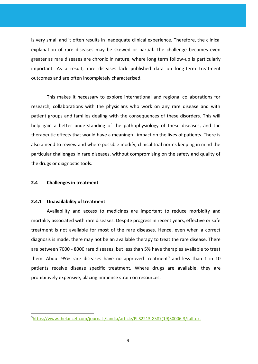is very small and it often results in inadequate clinical experience. Therefore, the clinical explanation of rare diseases may be skewed or partial. The challenge becomes even greater as rare diseases are chronic in nature, where long term follow-up is particularly important. As a result, rare diseases lack published data on long-term treatment outcomes and are often incompletely characterised.

This makes it necessary to explore international and regional collaborations for research, collaborations with the physicians who work on any rare disease and with patient groups and families dealing with the consequences of these disorders. This will help gain a better understanding of the pathophysiology of these diseases, and the therapeutic effects that would have a meaningful impact on the lives of patients. There is also a need to review and where possible modify, clinical trial norms keeping in mind the particular challenges in rare diseases, without compromising on the safety and quality of the drugs or diagnostic tools.

# **2.4 Challenges in treatment**

### **2.4.1 Unavailability of treatment**

Availability and access to medicines are important to reduce morbidity and mortality associated with rare diseases. Despite progress in recent years, effective or safe treatment is not available for most of the rare diseases. Hence, even when a correct diagnosis is made, there may not be an available therapy to treat the rare disease. There are between 7000 - 8000 rare diseases, but less than 5% have therapies available to treat them. About 95% rare diseases have no approved treatment<sup>3</sup> and less than 1 in 10 patients receive disease specific treatment. Where drugs are available, they are prohibitively expensive, placing immense strain on resources.

<sup>3</sup>[https://www.thelancet.com/journals/landia/article/PIIS2213-8587\(19\)30006-3/fulltext](https://www.thelancet.com/journals/landia/article/PIIS2213-8587(19)30006-3/fulltext)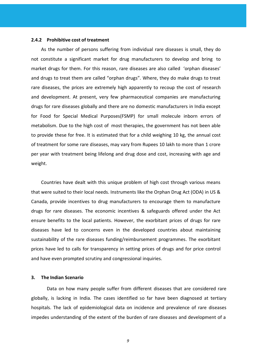#### **2.4.2 Prohibitive cost of treatment**

As the number of persons suffering from individual rare diseases is small, they do not constitute a significant market for drug manufacturers to develop and bring to market drugs for them. For this reason, rare diseases are also called 'orphan diseases' and drugs to treat them are called "orphan drugs". Where, they do make drugs to treat rare diseases, the prices are extremely high apparently to recoup the cost of research and development. At present, very few pharmaceutical companies are manufacturing drugs for rare diseases globally and there are no domestic manufacturers in India except for Food for Special Medical Purposes(FSMP) for small molecule inborn errors of metabolism. Due to the high cost of most therapies, the government has not been able to provide these for free. It is estimated that for a child weighing 10 kg, the annual cost of treatment for some rare diseases, may vary from Rupees 10 lakh to more than 1 crore per year with treatment being lifelong and drug dose and cost, increasing with age and weight.

Countries have dealt with this unique problem of high cost through various means that were suited to their local needs. Instruments like the Orphan Drug Act (ODA) in US & Canada, provide incentives to drug manufacturers to encourage them to manufacture drugs for rare diseases. The economic incentives & safeguards offered under the Act ensure benefits to the local patients. However, the exorbitant prices of drugs for rare diseases have led to concerns even in the developed countries about maintaining sustainability of the rare diseases funding/reimbursement programmes. The exorbitant prices have led to calls for transparency in setting prices of drugs and for price control and have even prompted scrutiny and congressional inquiries.

### **3. The Indian Scenario**

Data on how many people suffer from different diseases that are considered rare globally, is lacking in India. The cases identified so far have been diagnosed at tertiary hospitals. The lack of epidemiological data on incidence and prevalence of rare diseases impedes understanding of the extent of the burden of rare diseases and development of a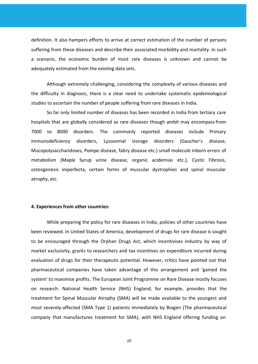definition. It also hampers efforts to arrive at correct estimation of the number of persons suffering from these diseases and describe their associated morbidity and mortality. In such a scenario, the economic burden of most rare diseases is unknown and cannot be adequately estimated from the existing data sets.

Although extremely challenging, considering the complexity of various diseases and the difficulty in diagnosis, there is a clear need to undertake systematic epidemiological studies to ascertain the number of people suffering from rare diseases in India.

So far only limited number of diseases has been recorded in India from tertiary care hospitals that are globally considered as rare diseases though ambit may encompassfrom 7000 to 8000 disorders. The commonly reported diseases include Primary immunodeficiency disorders, Lysosomal storage disorders (Gaucher's disease, Mucopolysaccharidoses, Pompe disease, fabry disease etc.) small molecule inborn errors of metabolism (Maple Syrup urine disease, organic acidemias etc.), Cystic Fibrosis, osteogenesis imperfecta, certain forms of muscular dystrophies and spinal muscular atrophy, etc.

### **4. Experiences from other countries:**

While preparing the policy for rare diseases in India, policies of other countries have been reviewed. In United States of America, development of drugs for rare disease is sought to be encouraged through the Orphan Drugs Act, which incentivises industry by way of market exclusivity, grants to researchers and tax incentives on expenditure incurred during evaluation of drugs for their therapeutic potential. However, critics have pointed out that pharmaceutical companies have taken advantage of this arrangement and 'gamed the system' to maximise profits. The European Joint Programme on Rare Disease mostly focuses on research. National Health Service (NHS) England, for example, provides that the treatment for Spinal Muscular Atrophy (SMA) will be made available to the youngest and most severely-affected (SMA Type 1) patients immediately by Biogen (The pharmaceutical company that manufactures treatment for SMA), with NHS England offering funding on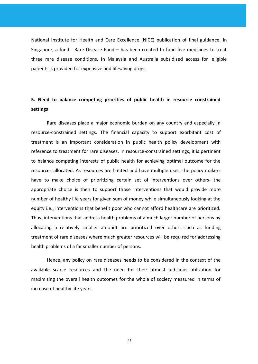National Institute for Health and Care Excellence (NICE) publication of final guidance. In Singapore, a fund - Rare Disease Fund – has been created to fund five medicines to treat three rare disease conditions. In Malaysia and Australia subsidised access for eligible patients is provided for expensive and lifesaving drugs.

# **5. Need to balance competing priorities of public health in resource constrained settings**

Rare diseases place a major economic burden on any country and especially in resource-constrained settings. The financial capacity to support exorbitant cost of treatment is an important consideration in public health policy development with reference to treatment for rare diseases. In resource-constrained settings, it is pertinent to balance competing interests of public health for achieving optimal outcome for the resources allocated. As resources are limited and have multiple uses, the policy makers have to make choice of prioritizing certain set of interventions over others- the appropriate choice is then to support those interventions that would provide more number of healthy life years for given sum of money while simultaneously looking at the equity i.e., interventions that benefit poor who cannot afford healthcare are prioritized. Thus, interventions that address health problems of a much larger number of persons by allocating a relatively smaller amount are prioritized over others such as funding treatment of rare diseases where much greater resources will be required for addressing health problems of a far smaller number of persons.

Hence, any policy on rare diseases needs to be considered in the context of the available scarce resources and the need for their utmost judicious utilization for maximizing the overall health outcomes for the whole of society measured in terms of increase of healthy life years.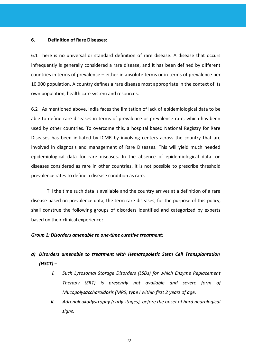### **6. Definition of Rare Diseases:**

6.1 There is no universal or standard definition of rare disease. A disease that occurs infrequently is generally considered a rare disease, and it has been defined by different countries in terms of prevalence – either in absolute terms or in terms of prevalence per 10,000 population. A country defines a rare disease most appropriate in the context of its own population, health care system and resources.

6.2 As mentioned above, India faces the limitation of lack of epidemiological data to be able to define rare diseases in terms of prevalence or prevalence rate, which has been used by other countries. To overcome this, a hospital based National Registry for Rare Diseases has been initiated by ICMR by involving centers across the country that are involved in diagnosis and management of Rare Diseases. This will yield much needed epidemiological data for rare diseases. In the absence of epidemiological data on diseases considered as rare in other countries, it is not possible to prescribe threshold prevalence rates to define a disease condition as rare.

Till the time such data is available and the country arrives at a definition of a rare disease based on prevalence data, the term rare diseases, for the purpose of this policy, shall construe the following groups of disorders identified and categorized by experts based on their clinical experience:

# *Group 1: Disorders amenable to one-time curative treatment:*

# *a) Disorders amenable to treatment with Hematopoietic Stem Cell Transplantation (HSCT) –*

- *i. Such Lysosomal Storage Disorders (LSDs) for which Enzyme Replacement Therapy (ERT) is presently not available and severe form of Mucopolysaccharoidosis (MPS) type I within first 2 years of age.*
- *ii. Adrenoleukodystrophy (early stages), before the onset of hard neurological signs.*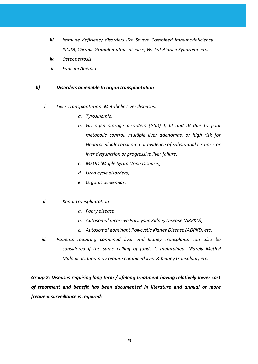- *iii. Immune deficiency disorders like Severe Combined Immunodeficiency (SCID), Chronic Granulomatous disease, Wiskot Aldrich Syndrome etc.*
- *iv. Osteopetrosis*
- *v. Fanconi Anemia*

# *b) Disorders amenable to organ transplantation*

- *i. Liver Transplantation -Metabolic Liver diseases:*
	- *a. Tyrosinemia,*
	- *b. Glycogen storage disorders (GSD) I, III and IV due to poor metabolic control, multiple liver adenomas, or high risk for Hepatocellualr carcinoma or evidence of substantial cirrhosis or liver dysfunction or progressive liver failure,*
	- *c. MSUD (Maple Syrup Urine Disease),*
	- *d. Urea cycle disorders,*
	- *e. Organic acidemias.*
- *ii. Renal Transplantation*
	- *a. Fabry disease*
	- *b. Autosomal recessive Polycystic Kidney Disease (ARPKD),*
	- *c. Autosomal dominant Polycystic Kidney Disease (ADPKD) etc.*
- *iii. Patients requiring combined liver and kidney transplants can also be considered if the same ceiling of funds is maintained. (Rarely Methyl Malonicaciduria may require combined liver & Kidney transplant) etc.*

*Group 2: Diseases requiring long term / lifelong treatment having relatively lower cost of treatment and benefit has been documented in literature and annual or more frequent surveillance is required:*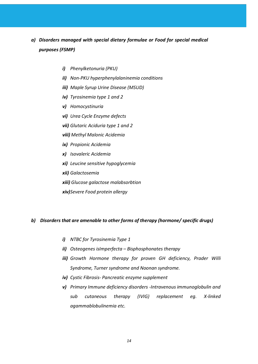# *a) Disorders managed with special dietary formulae or Food for special medical purposes (FSMP)*

- *i) Phenylketonuria (PKU)*
- *ii) Non-PKU hyperphenylalaninemia conditions*
- *iii) Maple Syrup Urine Disease (MSUD)*
- *iv) Tyrosinemia type 1 and 2*
- *v) Homocystinuria*
- *vi) Urea Cycle Enzyme defects*
- *vii) Glutaric Aciduria type 1 and 2*
- *viii) Methyl Malonic Acidemia*
- *ix) Propionic Acidemia*
- *x) Isovaleric Acidemia*
- *xi) Leucine sensitive hypoglycemia*
- *xii) Galactosemia*
- *xiii) Glucose galactose malabsorbtion*
- *xiv)Severe Food protein allergy*

# *b) Disorders that are amenable to other forms of therapy (hormone/ specific drugs)*

- *i) NTBC for Tyrosinemia Type 1*
- *ii) Osteogenes isImperfecta – Bisphosphonates therapy*
- *iii) Growth Hormone therapy for proven GH deficiency, Prader Willi Syndrome, Turner syndrome and Noonan syndrome.*
- *iv) Cystic Fibrosis- Pancreatic enzyme supplement*
- *v) Primary Immune deficiency disorders -Intravenous immunoglobulin and sub cutaneous therapy (IVIG) replacement eg. X-linked agammablobulinemia etc.*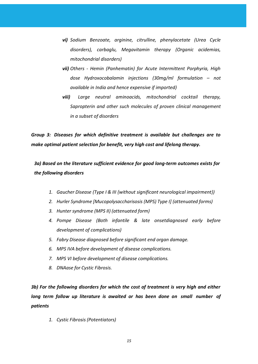- *vi) Sodium Benzoate, arginine, citrulline, phenylacetate (Urea Cycle disorders), carbaglu, Megavitamin therapy (Organic acidemias, mitochondrial disorders)*
- *vii) Others - Hemin (Panhematin) for Acute Intermittent Porphyria, High dose Hydroxocobalamin injections (30mg/ml formulation – not available in India and hence expensive if imported)*
- *viii) Large neutral aminoacids, mitochondrial cocktail therapy, Sapropterin and other such molecules of proven clinical management in a subset of disorders*

*Group 3: Diseases for which definitive treatment is available but challenges are to make optimal patient selection for benefit, very high cost and lifelong therapy.*

*3a) Based on the literature sufficient evidence for good long-term outcomes exists for the following disorders*

- *1. Gaucher Disease (Type I & III {without significant neurological impairment})*
- *2. Hurler Syndrome [Mucopolysaccharisosis (MPS) Type I] (attenuated forms)*
- *3. Hunter syndrome (MPS II) (attenuated form)*
- *4. Pompe Disease (Both infantile & late onsetdiagnosed early before development of complications)*
- *5. Fabry Disease diagnosed before significant end organ damage.*
- *6. MPS IVA before development of disease complications.*
- *7. MPS VI before development of disease complications.*
- *8. DNAase for Cystic Fibrosis.*

*3b) For the following disorders for which the cost of treatment is very high and either long term follow up literature is awaited or has been done on small number of patients*

*1. Cystic Fibrosis (Potentiators)*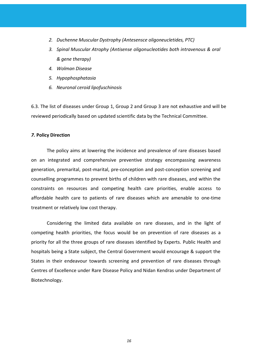- *2. Duchenne Muscular Dystrophy (Antesensce oligoneucletides, PTC)*
- *3. Spinal Muscular Atrophy (Antisense oligonucleotides both intravenous & oral & gene therapy)*
- *4. Wolman Disease*
- *5. Hypophosphatasia*
- *6. Neuronal ceroid lipofuschinosis*

6.3. The list of diseases under Group 1, Group 2 and Group 3 are not exhaustive and will be reviewed periodically based on updated scientific data by the Technical Committee.

# *7.* **Policy Direction**

The policy aims at lowering the incidence and prevalence of rare diseases based on an integrated and comprehensive preventive strategy encompassing awareness generation, premarital, post-marital, pre-conception and post-conception screening and counselling programmes to prevent births of children with rare diseases, and within the constraints on resources and competing health care priorities, enable access to affordable health care to patients of rare diseases which are amenable to one-time treatment or relatively low cost therapy.

Considering the limited data available on rare diseases, and in the light of competing health priorities, the focus would be on prevention of rare diseases as a priority for all the three groups of rare diseases identified by Experts. Public Health and hospitals being a State subject, the Central Government would encourage & support the States in their endeavour towards screening and prevention of rare diseases through Centres of Excellence under Rare Disease Policy and Nidan Kendras under Department of Biotechnology.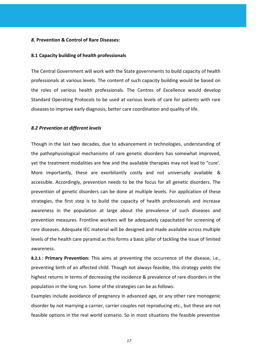### *8.* **Prevention & Control of Rare Diseases:**

### **8.1 Capacity building of health professionals**

The Central Government will work with the State governments to build capacity of health professionals at various levels. The content of such capacity building would be based on the roles of various health professionals. The Centres of Excellence would develop Standard Operating Protocols to be used at various levels of care for patients with rare diseases to improve early diagnosis, better care coordination and quality of life.

### *8.2 Prevention at different levels*

Though in the last two decades, due to advancement in technologies, understanding of the pathophysiological mechanisms of rare genetic disorders has somewhat improved, yet the treatment modalities are few and the available therapies may not lead to "cure'. More importantly, these are exorbitantly costly and not universally available & accessible. Accordingly, prevention needs to be the focus for all genetic disorders. The prevention of genetic disorders can be done at multiple levels. For application of these strategies, the first step is to build the capacity of health professionals and increase awareness in the population at large about the prevalence of such diseases and prevention measures. Frontline workers will be adequately capacitated for screening of rare diseases. Adequate IEC material will be designed and made available across multiple levels of the health care pyramid as this forms a basic pillar of tackling the issue of limited awareness.

**8.2.1 : Primary Prevention:** This aims at preventing the occurrence of the disease, i.e., preventing birth of an affected child. Though not always feasible, this strategy yields the highest returns in terms of decreasing the incidence & prevalence of rare disorders in the population in the long run. Some of the strategies can be as follows:

Examples include avoidance of pregnancy in advanced age, or any other rare monogenic disorder by not marrying a carrier, carrier couples not reproducing etc., but these are not feasible options in the real world scenario. So in most situations the feasible preventive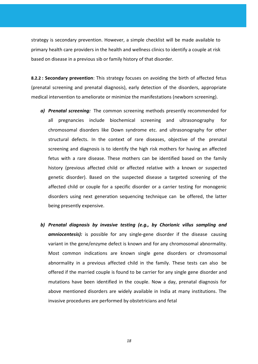strategy is secondary prevention. However, a simple checklist will be made available to primary health care providers in the health and wellness clinics to identify a couple at risk based on disease in a previous sib or family history of that disorder.

**8.2.2 : Secondary prevention**: This strategy focuses on avoiding the birth of affected fetus (prenatal screening and prenatal diagnosis), early detection of the disorders, appropriate medical intervention to ameliorate or minimize the manifestations (newborn screening).

- *a) Prenatal screening:* The common screening methods presently recommended for all pregnancies include biochemical screening and ultrasonography for chromosomal disorders like Down syndrome etc. and ultrasonography for other structural defects. In the context of rare diseases, objective of the prenatal screening and diagnosis is to identify the high risk mothers for having an affected fetus with a rare disease. These mothers can be identified based on the family history (previous affected child or affected relative with a known or suspected genetic disorder). Based on the suspected disease a targeted screening of the affected child or couple for a specific disorder or a carrier testing for monogenic disorders using next generation sequencing technique can be offered, the latter being presently expensive.
- *b) Prenatal diagnosis by invasive testing (e.g., by Chorionic villus sampling and amniocentesis):* is possible for any single-gene disorder if the disease causing variant in the gene/enzyme defect is known and for any chromosomal abnormality. Most common indications are known single gene disorders or chromosomal abnormality in a previous affected child in the family. These tests can also be offered if the married couple is found to be carrier for any single gene disorder and mutations have been identified in the couple. Now a day, prenatal diagnosis for above mentioned disorders are widely available in India at many institutions. The invasive procedures are performed by obstetricians and fetal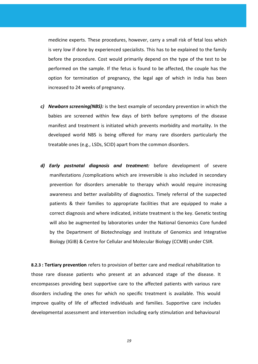medicine experts. These procedures, however, carry a small risk of fetal loss which is very low if done by experienced specialists. This has to be explained to the family before the procedure. Cost would primarily depend on the type of the test to be performed on the sample. If the fetus is found to be affected, the couple has the option for termination of pregnancy, the legal age of which in India has been increased to 24 weeks of pregnancy.

- *c) Newborn screening(NBS):* is the best example of secondary prevention in which the babies are screened within few days of birth before symptoms of the disease manifest and treatment is initiated which prevents morbidity and mortality. In the developed world NBS is being offered for many rare disorders particularly the treatable ones (e.g., LSDs, SCID) apart from the common disorders.
- *d) Early postnatal diagnosis and treatment:* before development of severe manifestations /complications which are irreversible is also included in secondary prevention for disorders amenable to therapy which would require increasing awareness and better availability of diagnostics. Timely referral of the suspected patients & their families to appropriate facilities that are equipped to make a correct diagnosis and where indicated, initiate treatment is the key. Genetic testing will also be augmented by laboratories under the National Genomics Core funded by the Department of Biotechnology and Institute of Genomics and Integrative Biology (IGIB) & Centre for Cellular and Molecular Biology (CCMB) under CSIR.

**8.2.3 : Tertiary prevention** refers to provision of better care and medical rehabilitation to those rare disease patients who present at an advanced stage of the disease. It encompasses providing best supportive care to the affected patients with various rare disorders including the ones for which no specific treatment is available. This would improve quality of life of affected individuals and families. Supportive care includes developmental assessment and intervention including early stimulation and behavioural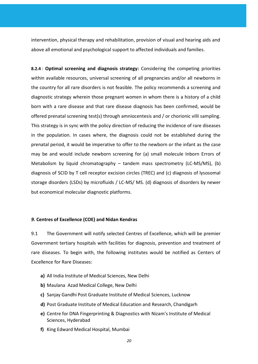intervention, physical therapy and rehabilitation, provision of visual and hearing aids and above all emotional and psychological support to affected individuals and families.

**8.2.4** : **Optimal screening and diagnosis strategy:** Considering the competing priorities within available resources, universal screening of all pregnancies and/or all newborns in the country for all rare disorders is not feasible. The policy recommends a screening and diagnostic strategy wherein those pregnant women in whom there is a history of a child born with a rare disease and that rare disease diagnosis has been confirmed, would be offered prenatal screening test(s) through amniocentesis and / or chorionic villi sampling. This strategy is in sync with the policy direction of reducing the incidence of rare diseases in the population. In cases where, the diagnosis could not be established during the prenatal period, it would be imperative to offer to the newborn or the infant as the case may be and would include newborn screening for (a) small molecule Inborn Errors of Metabolism by liquid chromatography – tandem mass spectrometry (LC-MS/MS), (b) diagnosis of SCID by T cell receptor excision circles (TREC) and (c) diagnosis of lysosomal storage disorders (LSDs) by microfluids / LC-MS/ MS. (d) diagnosis of disorders by newer but economical molecular diagnostic platforms.

# *9.* **Centres of Excellence (COE) and Nidan Kendras**

9.1 The Government will notify selected Centres of Excellence, which will be premier Government tertiary hospitals with facilities for diagnosis, prevention and treatment of rare diseases. To begin with, the following institutes would be notified as Centers of Excellence for Rare Diseases:

- **a)** All India Institute of Medical Sciences, New Delhi
- **b)** Maulana Azad Medical College, New Delhi
- **c)** Sanjay Gandhi Post Graduate Institute of Medical Sciences, Lucknow
- **d)** Post Graduate Institute of Medical Education and Research, Chandigarh
- **e)** Centre for DNA Fingerprinting & Diagnostics with Nizam's Institute of Medical Sciences, Hyderabad
- **f)** King Edward Medical Hospital, Mumbai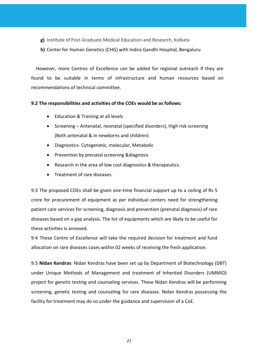- **g)** Institute of Post-Graduate Medical Education and Research, Kolkata
- **h)** Center for Human Genetics (CHG) with Indira Gandhi Hospital, Bengaluru

However, more Centres of Excellence can be added for regional outreach if they are found to be suitable in terms of infrastructure and human resources based on recommendations of technical committee.

# **9.2 The responsibilities and activities of the COEs would be as follows:**

- Education & Training at all levels
- Screening Antenatal, neonatal (specified disorders), High risk screening (Both antenatal & in newborns and children)
- Diagnostics- Cytogenetic, molecular, Metabolic
- Prevention by prenatal screening &diagnosis
- Research in the area of low cost diagnostics & therapeutics.
- Treatment of rare diseases.

9.3 The proposed COEs shall be given one-time financial support up to a ceiling of Rs 5 crore for procurement of equipment as per individual centers need for strengthening patient care services for screening, diagnosis and prevention (prenatal diagnosis) of rare diseases based on a gap analysis. The list of equipments which are likely to be useful for these activities is annexed.

9.4 These Centre of Excellence will take the required decision for treatment and fund allocation on rare diseases cases within 02 weeks of receiving the fresh application.

9.5 **Nidan Kendras**: Nidan Kendras have been set up by Department of Biotechnology (DBT) under Unique Methods of Management and treatment of Inherited Disorders (UMMID) project for genetic testing and counseling services. These Nidan Kendras will be performing screening, genetic testing and counseling for rare diseases. Nidan Kendras possessing the facility for treatment may do so under the guidance and supervision of a CoE.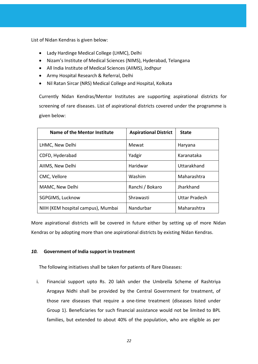List of Nidan Kendras is given below:

- Lady [Hardinge](http://lhmc-hosp.gov.in/) Medical College (LHMC), Delhi
- Nizam's Institute of Medical Sciences (NIMS), [Hyderabad,](https://www.nims.edu.in/) Telangana
- All India Institute of Medical [Sciences](https://www.aiimsjodhpur.edu.in/) (AIIMS), Jodhpur
- Army Hospital Research & Referral, Delhi
- Nil Ratan Sircar (NRS) Medical College and [Hospital,](https://nrsmc.edu.in/) Kolkata

Currently Nidan Kendras/Mentor Institutes are supporting aspirational districts for screening of rare diseases. List of aspirational districts covered under the programme is given below:

| Name of the Mentor Institute       | <b>Aspirational District</b> | <b>State</b>         |
|------------------------------------|------------------------------|----------------------|
| LHMC, New Delhi                    | Mewat                        | Haryana              |
| CDFD, Hyderabad                    | Yadgir                       | Karanataka           |
| AIIMS, New Delhi                   | Haridwar                     | Uttarakhand          |
| CMC, Vellore                       | Washim                       | Maharashtra          |
| MAMC, New Delhi                    | Ranchi / Bokaro              | Jharkhand            |
| SGPGIMS, Lucknow                   | Shrawasti                    | <b>Uttar Pradesh</b> |
| NIIH (KEM hospital campus), Mumbai | Nandurbar                    | Maharashtra          |

More aspirational districts will be covered in future either by setting up of more Nidan Kendras or by adopting more than one aspirational districts by existing Nidan Kendras.

# *10.* **Government of India support in treatment**

The following initiatives shall be taken for patients of Rare Diseases:

i. Financial support upto Rs. 20 lakh under the Umbrella Scheme of Rashtriya Arogaya Nidhi shall be provided by the Central Government for treatment, of those rare diseases that require a one-time treatment (diseases listed under Group 1). Beneficiaries for such financial assistance would not be limited to BPL families, but extended to about 40% of the population, who are eligible as per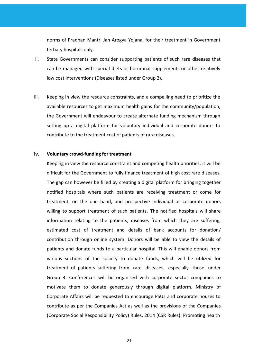norms of Pradhan Mantri Jan Arogya Yojana, for their treatment in Government tertiary hospitals only.

- ii. State Governments can consider supporting patients of such rare diseases that can be managed with special diets or hormonal supplements or other relatively low cost interventions (Diseases listed under Group 2).
- iii. Keeping in view the resource constraints, and a compelling need to prioritize the available resources to get maximum health gains for the community/population, the Government will endeavour to create alternate funding mechanism through setting up a digital platform for voluntary individual and corporate donors to contribute to the treatment cost of patients of rare diseases.

### **iv. Voluntary crowd-funding for treatment**

Keeping in view the resource constraint and competing health priorities, it will be difficult for the Government to fully finance treatment of high cost rare diseases. The gap can however be filled by creating a digital platform for bringing together notified hospitals where such patients are receiving treatment or come for treatment, on the one hand, and prospective individual or corporate donors willing to support treatment of such patients. The notified hospitals will share information relating to the patients, diseases from which they are suffering, estimated cost of treatment and details of bank accounts for donation/ contribution through online system. Donors will be able to view the details of patients and donate funds to a particular hospital. This will enable donors from various sections of the society to donate funds, which will be utilized for treatment of patients suffering from rare diseases, especially those under Group 3. Conferences will be organised with corporate sector companies to motivate them to donate generously through digital platform. Ministry of Corporate Affairs will be requested to encourage PSUs and corporate houses to contribute as per the Companies Act as well as the provisions of the Companies (Corporate Social Responsibility Policy) Rules, 2014 (CSR Rules). Promoting health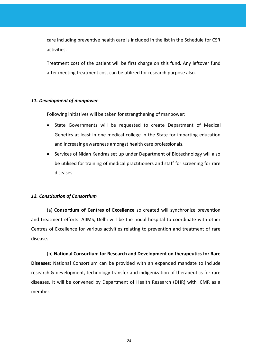care including preventive health care is included in the list in the Schedule for CSR activities.

Treatment cost of the patient will be first charge on this fund. Any leftover fund after meeting treatment cost can be utilized for research purpose also.

# *11. Development of manpower*

Following initiatives will be taken for strengthening of manpower:

- State Governments will be requested to create Department of Medical Genetics at least in one medical college in the State for imparting education and increasing awareness amongst health care professionals.
- Services of Nidan Kendras set up under Department of Biotechnology will also be utilised for training of medical practitioners and staff for screening for rare diseases.

# *12. Constitution of Consortium*

(a) **Consortium of Centres of Excellence** so created will synchronize prevention and treatment efforts. AIIMS, Delhi will be the nodal hospital to coordinate with other Centres of Excellence for various activities relating to prevention and treatment of rare disease.

(b) **National Consortium for Research and Development on therapeutics for Rare Diseases**: National Consortium can be provided with an expanded mandate to include research & development, technology transfer and indigenization of therapeutics for rare diseases. It will be convened by Department of Health Research (DHR) with ICMR as a member.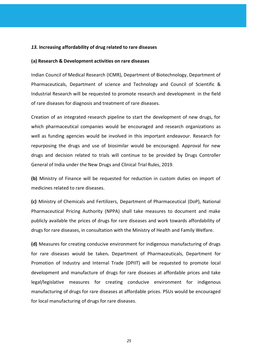### *13.* **Increasing affordability of drug related to rare diseases**

### **(a) Research & Development activities on rare diseases**

Indian Council of Medical Research (ICMR), Department of Biotechnology, Department of Pharmaceuticals, Department of science and Technology and Council of Scientific & Industrial Research will be requested to promote research and development in the field of rare diseases for diagnosis and treatment of rare diseases.

Creation of an integrated research pipeline to start the development of new drugs, for which pharmaceutical companies would be encouraged and research organizations as well as funding agencies would be involved in this important endeavour. Research for repurposing the drugs and use of biosimilar would be encouraged. Approval for new drugs and decision related to trials will continue to be provided by Drugs Controller General of India under the New Drugs and Clinical Trial Rules, 2019.

**(b)** Ministry of Finance will be requested for reduction in custom duties on import of medicines related to rare diseases.

**(c)** Ministry of Chemicals and Fertilizers, Department of Pharmaceutical (DoP), National Pharmaceutical Pricing Authority (NPPA) shall take measures to document and make publicly available the prices of drugs for rare diseases and work towards affordability of drugs for rare diseases, in consultation with the Ministry of Health and Family Welfare.

**(d)** Measures for creating conducive environment for indigenous manufacturing of drugs for rare diseases would be taken**.** Department of Pharmaceuticals, Department for Promotion of Industry and Internal Trade (DPIIT) will be requested to promote local development and manufacture of drugs for rare diseases at affordable prices and take legal/legislative measures for creating conducive environment for indigenous manufacturing of drugs for rare diseases at affordable prices. PSUs would be encouraged for local manufacturing of drugs for rare diseases.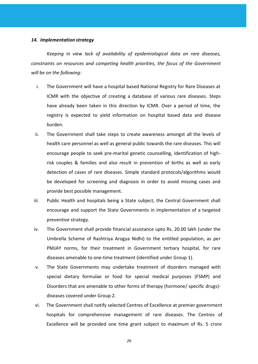#### *14. Implementation strategy*

*Keeping in view lack of availability of epidemiological data on rare diseases, constraints on resources and competing health priorities, the focus of the Government will be on the following:*

- i. The Government will have a hospital based National Registry for Rare Diseases at ICMR with the objective of creating a database of various rare diseases. Steps have already been taken in this direction by ICMR. Over a period of time, the registry is expected to yield information on hospital based data and disease burden.
- ii. The Government shall take steps to create awareness amongst all the levels of health care personnel as well as general public towards the rare diseases. This will encourage people to seek pre-marital genetic counselling, identification of highrisk couples & families and also result in prevention of births as well as early detection of cases of rare diseases. Simple standard protocols/algorithms would be developed for screening and diagnosis in order to avoid missing cases and provide best possible management.
- iii. Public Health and hospitals being a State subject, the Central Government shall encourage and support the State Governments in implementation of a targeted preventive strategy.
- iv. The Government shall provide financial assistance upto Rs. 20.00 lakh (under the Umbrella Scheme of Rashtriya Arogya Nidhi) to the entitled population, as per PMJAY norms, for their treatment in Government tertiary hospital, for rare diseases amenable to one-time treatment (identified under Group 1).
- v. The State Governments may undertake treatment of disorders managed with special dietary formulae or food for special medical purposes (FSMP) and Disorders that are amenable to other forms of therapy (hormone/ specific drugs) diseases covered under Group 2.
- vi. The Government shall notify selected Centres of Excellence at premier government hospitals for comprehensive management of rare diseases. The Centres of Excellence will be provided one time grant subject to maximum of Rs. 5 crore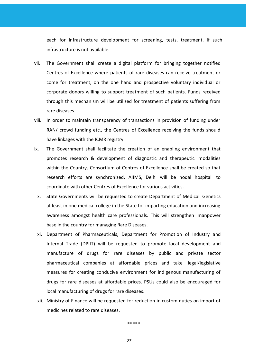each for infrastructure development for screening, tests, treatment, if such infrastructure is not available.

- vii. The Government shall create a digital platform for bringing together notified Centres of Excellence where patients of rare diseases can receive treatment or come for treatment, on the one hand and prospective voluntary individual or corporate donors willing to support treatment of such patients. Funds received through this mechanism will be utilized for treatment of patients suffering from rare diseases.
- viii. In order to maintain transparency of transactions in provision of funding under RAN/ crowd funding etc., the Centres of Excellence receiving the funds should have linkages with the ICMR registry.
- ix. The Government shall facilitate the creation of an enabling environment that promotes research & development of diagnostic and therapeutic modalities within the Country**.** Consortium of Centres of Excellence shall be created so that research efforts are synchronized. AIIMS, Delhi will be nodal hospital to coordinate with other Centres of Excellence for various activities.
	- x. State Governments will be requested to create Department of Medical Genetics at least in one medical college in the State for imparting education and increasing awareness amongst health care professionals. This will strengthen manpower base in the country for managing Rare Diseases.
	- xi. Department of Pharmaceuticals, Department for Promotion of Industry and Internal Trade (DPIIT) will be requested to promote local development and manufacture of drugs for rare diseases by public and private sector pharmaceutical companies at affordable prices and take legal/legislative measures for creating conducive environment for indigenous manufacturing of drugs for rare diseases at affordable prices. PSUs could also be encouraged for local manufacturing of drugs for rare diseases.
	- xii. Ministry of Finance will be requested for reduction in custom duties on import of medicines related to rare diseases.

\*\*\*\*\*